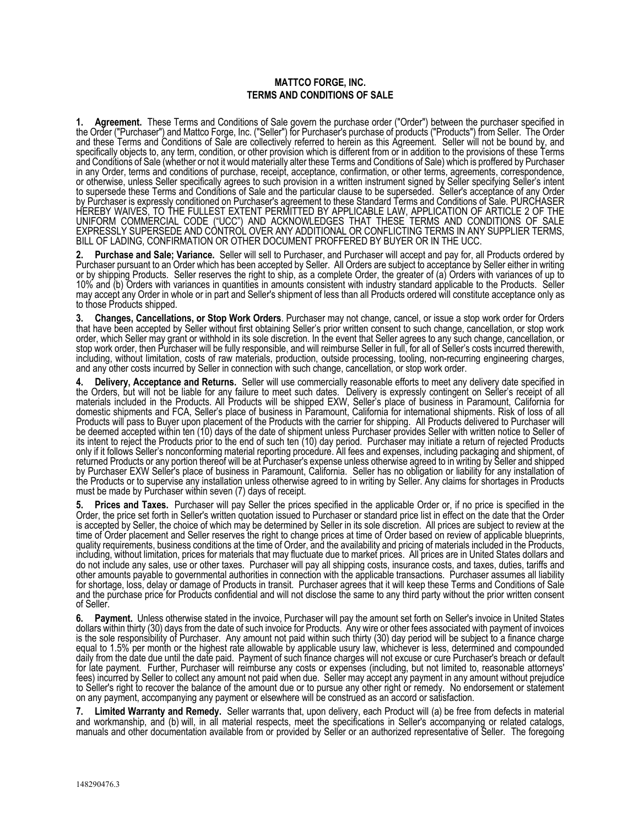## **MATTCO FORGE, INC. TERMS AND CONDITIONS OF SALE**

**1. Agreement.** These Terms and Conditions of Sale govern the purchase order ("Order") between the purchaser specified in the Order ("Purchaser") and Mattco Forge, Inc. ("Seller") for Purchaser's purchase of products ("Products") from Seller. The Order and these Terms and Conditions of Sale are collectively referred to herein as this Agreement. Seller will not be bound by, and specifically objects to, any term, condition, or other provision which is different from or in addition to the provisions of these Terms and Conditions of Sale (whether or not it would materially alter these Terms and Conditions of Sale) which is proffered by Purchaser in any Order, terms and conditions of purchase, receipt, acceptance, confirmation, or other terms, agreements, correspondence, or otherwise, unless Seller specifically agrees to such provision in a written instrument signed by Seller specifying Seller's intent to supersede these Terms and Conditions of Sale and the particular clause to be supersed by Purchaser is expressly conditioned on Purchaser's agreement to these Standard Terms and Conditions of Sale. PURCHASER HEREBY WAIVES, TO THE FULLEST EXTENT PERMITTED BY APPLICABLE LAW, APPLICATION OF ARTICLE 2 OF THE UNIFORM COMMERCIAL CODE ("UCC") AND ACKNOWLEDGES THAT THESE TERMS AND CONDITIONS OF SALE EXPRESSLY SUPERSEDE AND CONTROL OVER ANY ADDITIONAL OR CONFLICTING TERMS IN ANY SUPPLIER TERMS, BILL OF LADING, CONFIRMATION OR OTHER DOCUMENT PROFFERED BY BUYER OR IN THE UCC.

**2. Purchase and Sale; Variance.** Seller will sell to Purchaser, and Purchaser will accept and pay for, all Products ordered by Purchaser pursuant to an Order which has been accepted by Seller. All Orders are subject to acceptance by Seller either in writing or by shipping Products. Seller reserves the right to ship, as a complete Order, the greater of (a) Orders with variances of up to 10% and (b) Orders with variances in quantities in amounts consistent with industry standard applicable to the Products. Seller may accept any Order in whole or in part and Seller's shipment of less than all Products ordered will constitute acceptance only as to those Products shipped.

**3. Changes, Cancellations, or Stop Work Orders**. Purchaser may not change, cancel, or issue a stop work order for Orders that have been accepted by Seller without first obtaining Seller's prior written consent to such change, cancellation, or stop work order, which Seller may grant or withhold in its sole discretion. In the event that Seller agrees to any such change, cancellation, or stop work order, then Purchaser will be fully responsible, and will reimburse Seller in full, for all of Seller's costs incurred therewith, including, without limitation, costs of raw materials, production, outside processing, tooling, non-recurring engineering charges, and any other costs incurred by Seller in connection with such change, cancellation, or stop work order.

**4. Delivery, Acceptance and Returns.** Seller will use commercially reasonable efforts to meet any delivery date specified in the Orders, but will not be liable for any failure to meet such dates. Delivery is expressly contingent on Seller's receipt of all materials included in the Products. All Products will be shipped EXW, Seller's place of business in Paramount, California for domestic shipments and FCA, Seller's place of business in Paramount, California for international shipments. Risk of loss of all Products will pass to Buyer upon placement of the Products with the carrier for shipping. All Products delivered to Purchaser will be deemed accepted within ten (10) days of the date of shipment unless Purchaser provides Seller with written notice to Seller of its intent to reject the Products prior to the end of such ten (10) day period. Purchaser may initiate a return of rejected Products only if it follows Seller's nonconforming material reporting procedure. All fees and expenses, including packaging and shipment, of returned Products or any portion thereof will be at Purchaser's expense unless otherwise agreed to in writing by Seller and shipped by Purchaser EXW Seller's place of business in Paramount, California. Seller has no obligation or liability for any installation of the Products or to supervise any installation unless otherwise agreed to in writing by Seller. Any claims for shortages in Products must be made by Purchaser within seven (7) days of receipt.

**5. Prices and Taxes.** Purchaser will pay Seller the prices specified in the applicable Order or, if no price is specified in the Order, the price set forth in Seller's written quotation issued to Purchaser or standard price list in effect on the date that the Order is accepted by Seller, the choice of which may be determined by Seller in its sole di is accepted by Seller, the choice of which may be determined by Seller in its sole discretion. All prices are subject to review at the<br>time of Order placement and Seller reserves the right to change prices at time of Orde quality requirements, business conditions at the time of Order, and the availability and pricing of materials included in the Products,<br>including, without limitation, prices for materials that may fluctuate due to market p do not include any sales, use or other taxes. Purchaser will pay all shipping costs, insurance costs, and taxes, duties, tariffs and other amounts payable to governmental authorities in connection with the applicable trans for shortage, loss, delay or damage of Products in transit. Purchaser agrees that it will keep these Terms and Conditions of Sale and the purchase price for Products confidential and will not disclose the same to any third party without the prior written consent of Seller.

**6. Payment.** Unless otherwise stated in the invoice, Purchaser will pay the amount set forth on Seller's invoice in United States dollars within thirty (30) days from the date of such invoice for Products. Any wire or other fees associated with payment of invoices is the sole responsibility of Purchaser. Any amount not paid within such thirty (30) day period will be subject to a finance charge equal to 1.5% per month or the highest rate allowable by applicable usury law, whichever i daily from the date due until the date paid. Payment of such finance charges will not excuse or cure Purchaser's breach or default for late payment. Further, Purchaser will reimburse any costs or expenses (including, but not limited to, reasonable attorneys'<br>fees) incurred by Seller to collect any amount not paid when due. Seller may accept any paymen to Seller's right to recover the balance of the amount due or to pursue any other right or remedy. No endorsement or statement on any payment, accompanying any payment or elsewhere will be construed as an accord or satisfa

**7. Limited Warranty and Remedy.** Seller warrants that, upon delivery, each Product will (a) be free from defects in material and workmanship, and (b) will, in all material respects, meet the specifications in Seller's accompanying or related catalogs, manuals and other documentation available from or provided by Seller or an authorized representative of Seller. The foregoing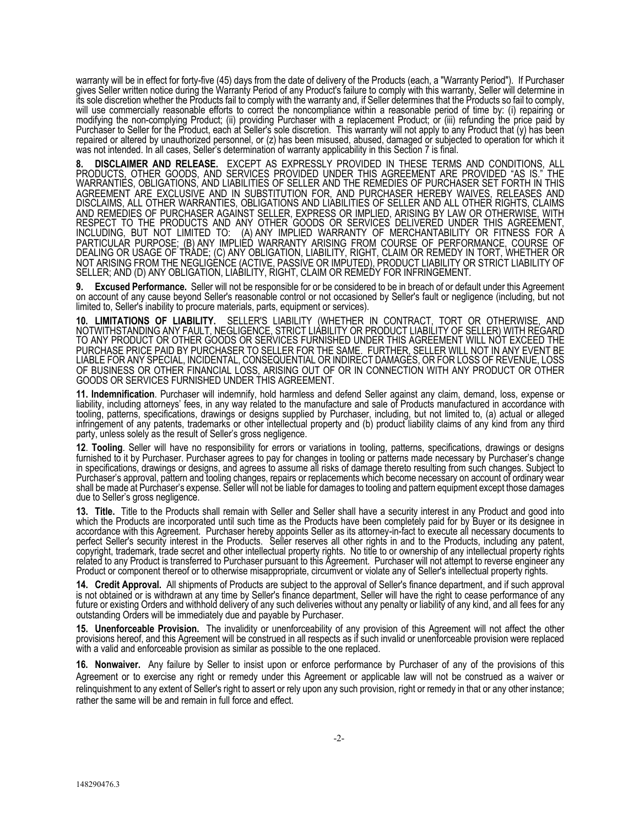warranty will be in effect for forty-five (45) days from the date of delivery of the Products (each, a "Warranty Period"). If Purchaser gives Seller written notice during the Warranty Period of any Product's failure to comply with this warranty, Seller will determine in its sole discretion whether the Products fail to comply with the warranty and, if Seller determines that the Products so fail to comply, will use commercially reasonable efforts to correct the noncompliance within a reasonable period of time by: (i) repairing or modifying the non-complying Product; (ii) providing Purchaser with a replacement Product; or (iii) refunding the price paid by Purchaser to Seller for the Product, each at Seller's sole discretion. This warranty will not apply to any Product that (y) has been repaired or altered by unauthorized personnel, or (z) has been misused, abused, damaged or subjected to operation for which it was not intended. In all cases, Seller's determination of warranty applicability in this Section 7 is final.

**8. DISCLAIMER AND RELEASE.** EXCEPT AS EXPRESSLY PROVIDED IN THESE TERMS AND CONDITIONS, ALL PRODUCTS, OTHER GOODS, AND SERVICES PROVIDED UNDER THIS AGREEMENT ARE PROVIDED "AS IS." THE WARRANTIES, OBLIGATIONS, AND LIABILITIES OF SELLER AND THE REMEDIES OF PURCHASER SET FORTH IN THIS AGREEMENT ARE EXCLUSIVE AND IN SUBSTITUTION FOR, AND PURCHASER HEREBY WAIVES, RELEASES AND DISCLAIMS, ALL OTHER WARRANTIES, OBLIGATIONS AND LIABILITIES OF SELLER AND ALL OTHER RIGHTS, CLAIMS AND REMEDIES OF PURCHASER AGAINST SELLER, EXPRESS OR IMPLIED, ARISING BY LAW OR OTHERWISE, WITH RESPECT TO THE PRODUCTS AND ANY OTHER GOODS OR SERVICES DELIVERED UNDER THIS AGREEMENT, INCLUDING, BUT NOT LIMITED TO: (A) ANY IMPLIED WARRANTY OF MERCHANTABILITY OR FITNESS FOR A PARTICULAR PURPOSE; (B) ANY IMPLIED WARRANTY ARISING FROM COURSE OF PERFORMANCE, COURSE OF DEALING OR USAGE OF TRADE; (C) ANY OBLIGATION, LIABILITY, RIGHT, CLAIM OR REMEDY IN TORT, WHETHER OR NOT ARISING FROM THE NEGLIGENCE (ACTIVE, PASSIVE OR IMPUTED), PRODUCT LIABILITY OR STRICT LIABILITY OF SELLER; AND (D) ANY OBLIGATION, LIABILITY, RIGHT, CLAIM OR REMEDY FOR INFRINGEMENT.

**9. Excused Performance.** Seller will not be responsible for or be considered to be in breach of or default under this Agreement on account of any cause beyond Seller's reasonable control or not occasioned by Seller's fault or negligence (including, but not limited to, Seller's inability to procure materials, parts, equipment or services).

**10. LIMITATIONS OF LIABILITY.** SELLER'S LIABILITY (WHETHER IN CONTRACT, TORT OR OTHERWISE, AND NOTWITHSTANDING ANY FAULT, NEGLIGENCE, STRICT LIABILITY OR PRODUCT LIABILITY OF SELLER) WITH REGARD<br>TO ANY PRODUCT OR OTHER GOODS OR SERVICES FURNISHED UNDER THIS AGREEMENT WILL NOT EXCEED THE PURCHASE PRICE PAID BY PURCHASER TO SELLER FOR THE SAME. FURTHER, SELLER WILL NOT IN ANY EVENT BE LIABLE FOR ANY SPECIAL, INCIDENTAL, CONSEQUENTIAL OR INDIRECT DAMAGES, OR FOR LOSS OF REVENUE, LOSS OF BUSINESS OR OTHER FINANCIAL LOSS, ARISING OUT OF OR IN CONNECTION WITH ANY PRODUCT OR OTHER GOODS OR SERVICES FURNISHED UNDER THIS AGREEMENT.

11. Indemnification. Purchaser will indemnify, hold harmless and defend Seller against any claim, demand, loss, expense or liability, including attorneys' fees, in any way related to the manufacture and sale of Products ma tooling, patterns, specifications, drawings or designs supplied by Purchaser, including, but not limited to, (a) actual or alleged infringement of any patents, trademarks or other intellectual property and (b) product liability claims of any kind from any third party, unless solely as the result of Seller's gross negligence.

**12**. **Tooling**. Seller will have no responsibility for errors or variations in tooling, patterns, specifications, drawings or designs furnished to it by Purchaser. Purchaser agrees to pay for changes in tooling or patterns made necessary by Purchaser's change in specifications, drawings or designs, and agrees to assume all risks of damage thereto resulting from such changes. Subject to Purchaser's approval, pattern and tooling changes, repairs or replacements which become necessary on account of ordinary wear shall be made at Purchaser's expense. Seller will not be liable for damages to tooling and pattern equipment except those damages<br>due to Seller's gross negligence.

**13. Title.** Title to the Products shall remain with Seller and Seller shall have a security interest in any Product and good into which the Products are incorporated until such time as the Products have been completely paid for by Buyer or its designee in accordance with this Agreement. Purchaser hereby appoints Seller as its attorney-in-fact to execute all necessary documents to perfect Seller's security interest in the Products. Seller reserves all other rights in and to copyright, trademark, trade secret and other intellectual property rights. No title to or ownership of any intellectual property rights related to any Product is transferred to Purchaser pursuant to this Agreement. Purchas Product or component thereof or to otherwise misappropriate, circumvent or violate any of Seller's intellectual property rights.

**14. Credit Approval.** All shipments of Products are subject to the approval of Seller's finance department, and if such approval is not obtained or is withdrawn at any time by Seller's finance department, Seller will have the right to cease performance of any<br>future or existing Orders and withhold delivery of any such deliveries without any penalty outstanding Orders will be immediately due and payable by Purchaser.

**15. Unenforceable Provision.** The invalidity or unenforceability of any provision of this Agreement will not affect the other provisions hereof, and this Agreement will be construed in all respects as if such invalid or unenforceable provision were replaced<br>with a valid and enforceable provision as similar as possible to the one replaced.

**16. Nonwaiver.** Any failure by Seller to insist upon or enforce performance by Purchaser of any of the provisions of this Agreement or to exercise any right or remedy under this Agreement or applicable law will not be construed as a waiver or relinquishment to any extent of Seller's right to assert or rely upon any such provision, right or remedy in that or any other instance; rather the same will be and remain in full force and effect.